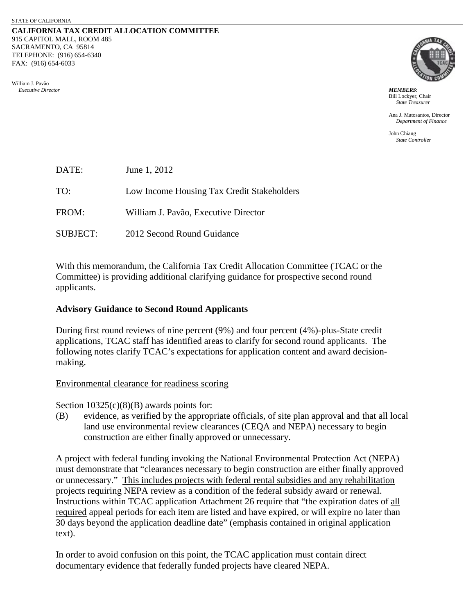#### **CALIFORNIA TAX CREDIT ALLOCATION COMMITTEE** 915 CAPITOL MALL, ROOM 485 SACRAMENTO, CA 95814 TELEPHONE: (916) 654-6340 FAX: (916) 654-6033

William J. Pavão  *Executive Director MEMBERS***:**



Bill Lockyer, Chair *State Treasurer*

Ana J. Matosantos, Director *Department of Finance*

John Chiang *State Controller*

| DATE:    | June 1, 2012                               |
|----------|--------------------------------------------|
| TO:      | Low Income Housing Tax Credit Stakeholders |
| FROM:    | William J. Pavão, Executive Director       |
| SUBJECT: | 2012 Second Round Guidance                 |

With this memorandum, the California Tax Credit Allocation Committee (TCAC or the Committee) is providing additional clarifying guidance for prospective second round applicants.

# **Advisory Guidance to Second Round Applicants**

During first round reviews of nine percent (9%) and four percent (4%)-plus-State credit applications, TCAC staff has identified areas to clarify for second round applicants. The following notes clarify TCAC's expectations for application content and award decisionmaking.

# Environmental clearance for readiness scoring

Section  $10325(c)(8)(B)$  awards points for:

(B) evidence, as verified by the appropriate officials, of site plan approval and that all local land use environmental review clearances (CEQA and NEPA) necessary to begin construction are either finally approved or unnecessary.

A project with federal funding invoking the National Environmental Protection Act (NEPA) must demonstrate that "clearances necessary to begin construction are either finally approved or unnecessary." This includes projects with federal rental subsidies and any rehabilitation projects requiring NEPA review as a condition of the federal subsidy award or renewal. Instructions within TCAC application Attachment 26 require that "the expiration dates of all required appeal periods for each item are listed and have expired, or will expire no later than 30 days beyond the application deadline date" (emphasis contained in original application text).

In order to avoid confusion on this point, the TCAC application must contain direct documentary evidence that federally funded projects have cleared NEPA.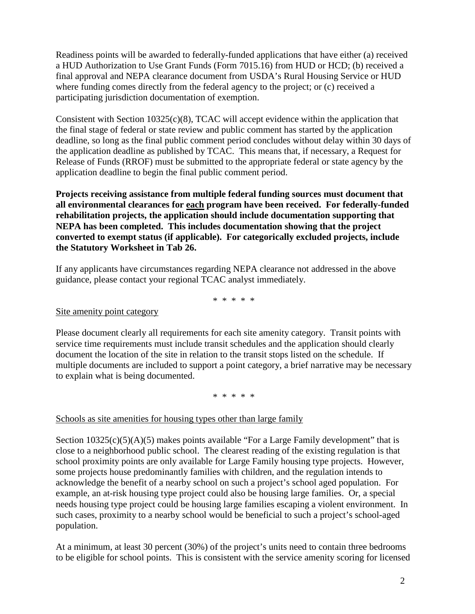Readiness points will be awarded to federally-funded applications that have either (a) received a HUD Authorization to Use Grant Funds (Form 7015.16) from HUD or HCD; (b) received a final approval and NEPA clearance document from USDA's Rural Housing Service or HUD where funding comes directly from the federal agency to the project; or (c) received a participating jurisdiction documentation of exemption.

Consistent with Section 10325(c)(8), TCAC will accept evidence within the application that the final stage of federal or state review and public comment has started by the application deadline, so long as the final public comment period concludes without delay within 30 days of the application deadline as published by TCAC. This means that, if necessary, a Request for Release of Funds (RROF) must be submitted to the appropriate federal or state agency by the application deadline to begin the final public comment period.

**Projects receiving assistance from multiple federal funding sources must document that all environmental clearances for each program have been received. For federally-funded rehabilitation projects, the application should include documentation supporting that NEPA has been completed. This includes documentation showing that the project converted to exempt status (if applicable). For categorically excluded projects, include the Statutory Worksheet in Tab 26.**

If any applicants have circumstances regarding NEPA clearance not addressed in the above guidance, please contact your regional TCAC analyst immediately.

\* \* \* \* \*

## Site amenity point category

Please document clearly all requirements for each site amenity category. Transit points with service time requirements must include transit schedules and the application should clearly document the location of the site in relation to the transit stops listed on the schedule. If multiple documents are included to support a point category, a brief narrative may be necessary to explain what is being documented.

\* \* \* \* \*

# Schools as site amenities for housing types other than large family

Section  $10325(c)(5)(A)(5)$  makes points available "For a Large Family development" that is close to a neighborhood public school. The clearest reading of the existing regulation is that school proximity points are only available for Large Family housing type projects. However, some projects house predominantly families with children, and the regulation intends to acknowledge the benefit of a nearby school on such a project's school aged population. For example, an at-risk housing type project could also be housing large families. Or, a special needs housing type project could be housing large families escaping a violent environment. In such cases, proximity to a nearby school would be beneficial to such a project's school-aged population.

At a minimum, at least 30 percent (30%) of the project's units need to contain three bedrooms to be eligible for school points. This is consistent with the service amenity scoring for licensed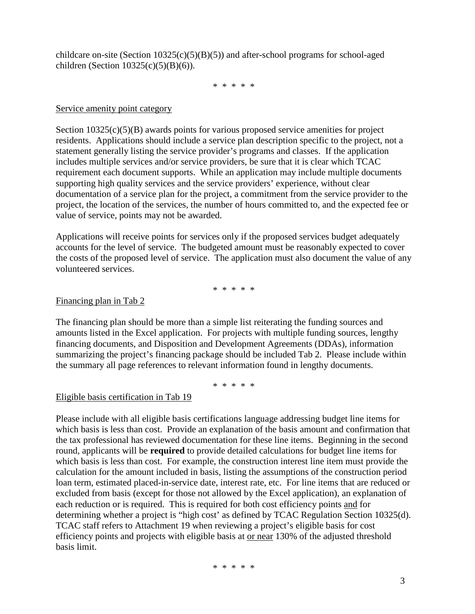childcare on-site (Section 10325(c)(5)(B)(5)) and after-school programs for school-aged children (Section  $10325(c)(5)(B)(6)$ ).

\* \* \* \* \*

#### Service amenity point category

Section  $10325(c)(5)(B)$  awards points for various proposed service amenities for project residents. Applications should include a service plan description specific to the project, not a statement generally listing the service provider's programs and classes. If the application includes multiple services and/or service providers, be sure that it is clear which TCAC requirement each document supports. While an application may include multiple documents supporting high quality services and the service providers' experience, without clear documentation of a service plan for the project, a commitment from the service provider to the project, the location of the services, the number of hours committed to, and the expected fee or value of service, points may not be awarded.

Applications will receive points for services only if the proposed services budget adequately accounts for the level of service. The budgeted amount must be reasonably expected to cover the costs of the proposed level of service. The application must also document the value of any volunteered services.

\* \* \* \* \*

#### Financing plan in Tab 2

The financing plan should be more than a simple list reiterating the funding sources and amounts listed in the Excel application. For projects with multiple funding sources, lengthy financing documents, and Disposition and Development Agreements (DDAs), information summarizing the project's financing package should be included Tab 2. Please include within the summary all page references to relevant information found in lengthy documents.

\* \* \* \* \*

### Eligible basis certification in Tab 19

Please include with all eligible basis certifications language addressing budget line items for which basis is less than cost. Provide an explanation of the basis amount and confirmation that the tax professional has reviewed documentation for these line items. Beginning in the second round, applicants will be **required** to provide detailed calculations for budget line items for which basis is less than cost. For example, the construction interest line item must provide the calculation for the amount included in basis, listing the assumptions of the construction period loan term, estimated placed-in-service date, interest rate, etc. For line items that are reduced or excluded from basis (except for those not allowed by the Excel application), an explanation of each reduction or is required. This is required for both cost efficiency points and for determining whether a project is "high cost' as defined by TCAC Regulation Section 10325(d). TCAC staff refers to Attachment 19 when reviewing a project's eligible basis for cost efficiency points and projects with eligible basis at or near 130% of the adjusted threshold basis limit.

\* \* \* \* \*